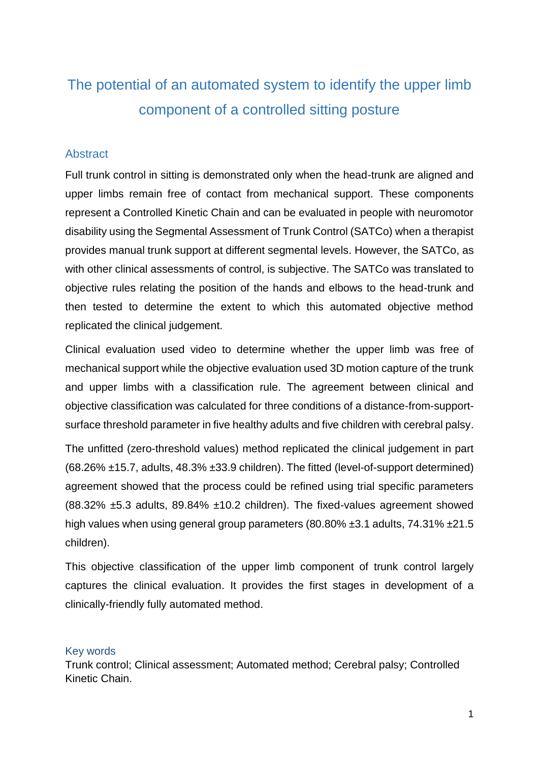# The potential of an automated system to identify the upper limb component of a controlled sitting posture

#### Abstract

Full trunk control in sitting is demonstrated only when the head-trunk are aligned and upper limbs remain free of contact from mechanical support. These components represent a Controlled Kinetic Chain and can be evaluated in people with neuromotor disability using the Segmental Assessment of Trunk Control (SATCo) when a therapist provides manual trunk support at different segmental levels. However, the SATCo, as with other clinical assessments of control, is subjective. The SATCo was translated to objective rules relating the position of the hands and elbows to the head-trunk and then tested to determine the extent to which this automated objective method replicated the clinical judgement.

Clinical evaluation used video to determine whether the upper limb was free of mechanical support while the objective evaluation used 3D motion capture of the trunk and upper limbs with a classification rule. The agreement between clinical and objective classification was calculated for three conditions of a distance-from-supportsurface threshold parameter in five healthy adults and five children with cerebral palsy.

The unfitted (zero-threshold values) method replicated the clinical judgement in part (68.26% ±15.7, adults, 48.3% ±33.9 children). The fitted (level-of-support determined) agreement showed that the process could be refined using trial specific parameters (88.32% ±5.3 adults, 89.84% ±10.2 children). The fixed-values agreement showed high values when using general group parameters (80.80% ±3.1 adults, 74.31% ±21.5 children).

This objective classification of the upper limb component of trunk control largely captures the clinical evaluation. It provides the first stages in development of a clinically-friendly fully automated method.

#### Key words

Trunk control; Clinical assessment; Automated method; Cerebral palsy; Controlled Kinetic Chain.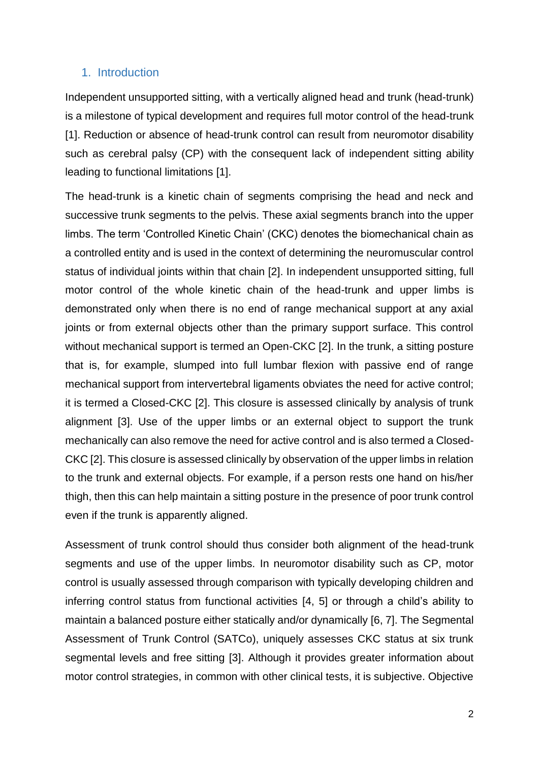#### 1. Introduction

Independent unsupported sitting, with a vertically aligned head and trunk (head-trunk) is a milestone of typical development and requires full motor control of the head-trunk [1]. Reduction or absence of head-trunk control can result from neuromotor disability such as cerebral palsy (CP) with the consequent lack of independent sitting ability leading to functional limitations [1].

The head-trunk is a kinetic chain of segments comprising the head and neck and successive trunk segments to the pelvis. These axial segments branch into the upper limbs. The term 'Controlled Kinetic Chain' (CKC) denotes the biomechanical chain as a controlled entity and is used in the context of determining the neuromuscular control status of individual joints within that chain [2]. In independent unsupported sitting, full motor control of the whole kinetic chain of the head-trunk and upper limbs is demonstrated only when there is no end of range mechanical support at any axial joints or from external objects other than the primary support surface. This control without mechanical support is termed an Open-CKC [2]. In the trunk, a sitting posture that is, for example, slumped into full lumbar flexion with passive end of range mechanical support from intervertebral ligaments obviates the need for active control; it is termed a Closed-CKC [2]. This closure is assessed clinically by analysis of trunk alignment [3]. Use of the upper limbs or an external object to support the trunk mechanically can also remove the need for active control and is also termed a Closed-CKC [2]. This closure is assessed clinically by observation of the upper limbs in relation to the trunk and external objects. For example, if a person rests one hand on his/her thigh, then this can help maintain a sitting posture in the presence of poor trunk control even if the trunk is apparently aligned.

Assessment of trunk control should thus consider both alignment of the head-trunk segments and use of the upper limbs. In neuromotor disability such as CP, motor control is usually assessed through comparison with typically developing children and inferring control status from functional activities [4, 5] or through a child's ability to maintain a balanced posture either statically and/or dynamically [6, 7]. The Segmental Assessment of Trunk Control (SATCo), uniquely assesses CKC status at six trunk segmental levels and free sitting [3]. Although it provides greater information about motor control strategies, in common with other clinical tests, it is subjective. Objective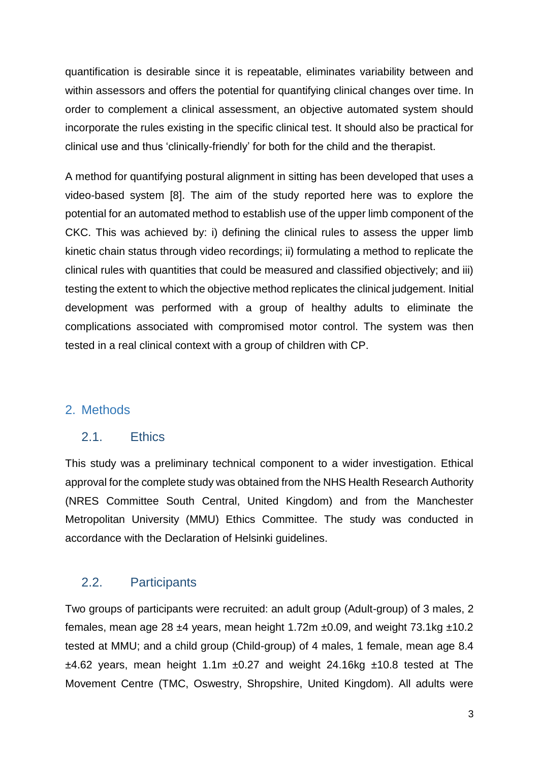quantification is desirable since it is repeatable, eliminates variability between and within assessors and offers the potential for quantifying clinical changes over time. In order to complement a clinical assessment, an objective automated system should incorporate the rules existing in the specific clinical test. It should also be practical for clinical use and thus 'clinically-friendly' for both for the child and the therapist.

A method for quantifying postural alignment in sitting has been developed that uses a video-based system [8]. The aim of the study reported here was to explore the potential for an automated method to establish use of the upper limb component of the CKC. This was achieved by: i) defining the clinical rules to assess the upper limb kinetic chain status through video recordings; ii) formulating a method to replicate the clinical rules with quantities that could be measured and classified objectively; and iii) testing the extent to which the objective method replicates the clinical judgement. Initial development was performed with a group of healthy adults to eliminate the complications associated with compromised motor control. The system was then tested in a real clinical context with a group of children with CP.

#### 2. Methods

#### 2.1. Ethics

This study was a preliminary technical component to a wider investigation. Ethical approval for the complete study was obtained from the NHS Health Research Authority (NRES Committee South Central, United Kingdom) and from the Manchester Metropolitan University (MMU) Ethics Committee. The study was conducted in accordance with the Declaration of Helsinki guidelines.

#### 2.2. Participants

Two groups of participants were recruited: an adult group (Adult-group) of 3 males, 2 females, mean age 28  $\pm$ 4 years, mean height 1.72m  $\pm$ 0.09, and weight 73.1kg  $\pm$ 10.2 tested at MMU; and a child group (Child-group) of 4 males, 1 female, mean age 8.4  $±4.62$  years, mean height 1.1m  $±0.27$  and weight 24.16kg  $±10.8$  tested at The Movement Centre (TMC, Oswestry, Shropshire, United Kingdom). All adults were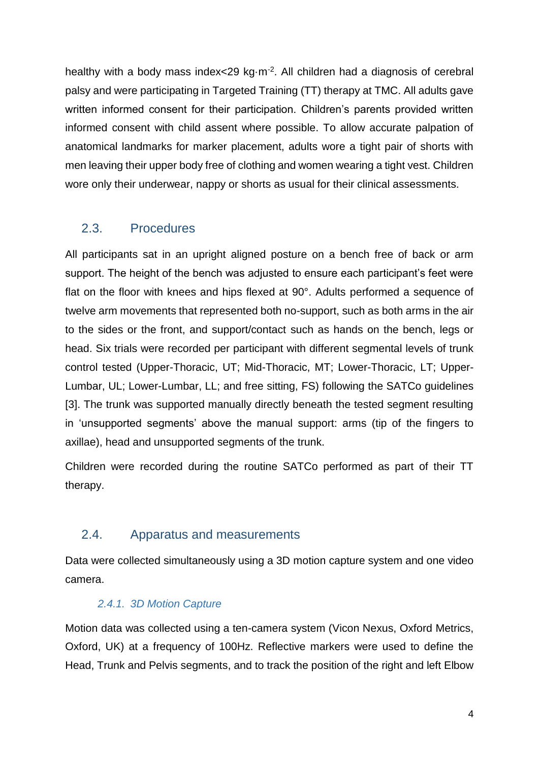healthy with a body mass index<29 kg·m<sup>-2</sup>. All children had a diagnosis of cerebral palsy and were participating in Targeted Training (TT) therapy at TMC. All adults gave written informed consent for their participation. Children's parents provided written informed consent with child assent where possible. To allow accurate palpation of anatomical landmarks for marker placement, adults wore a tight pair of shorts with men leaving their upper body free of clothing and women wearing a tight vest. Children wore only their underwear, nappy or shorts as usual for their clinical assessments.

# 2.3. Procedures

All participants sat in an upright aligned posture on a bench free of back or arm support. The height of the bench was adjusted to ensure each participant's feet were flat on the floor with knees and hips flexed at 90°. Adults performed a sequence of twelve arm movements that represented both no-support, such as both arms in the air to the sides or the front, and support/contact such as hands on the bench, legs or head. Six trials were recorded per participant with different segmental levels of trunk control tested (Upper-Thoracic, UT; Mid-Thoracic, MT; Lower-Thoracic, LT; Upper-Lumbar, UL; Lower-Lumbar, LL; and free sitting, FS) following the SATCo guidelines [3]. The trunk was supported manually directly beneath the tested segment resulting in 'unsupported segments' above the manual support: arms (tip of the fingers to axillae), head and unsupported segments of the trunk.

Children were recorded during the routine SATCo performed as part of their TT therapy.

#### 2.4. Apparatus and measurements

Data were collected simultaneously using a 3D motion capture system and one video camera.

#### *2.4.1. 3D Motion Capture*

Motion data was collected using a ten-camera system (Vicon Nexus, Oxford Metrics, Oxford, UK) at a frequency of 100Hz. Reflective markers were used to define the Head, Trunk and Pelvis segments, and to track the position of the right and left Elbow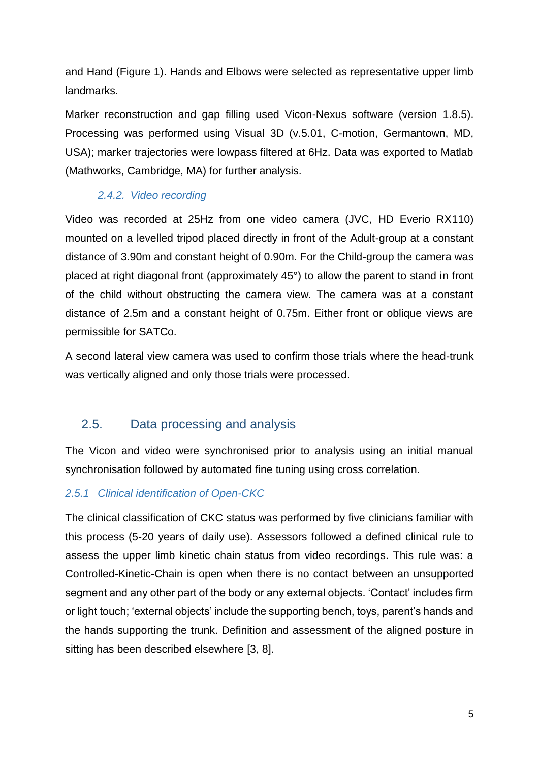and Hand [\(Figure 1\)](#page-12-0). Hands and Elbows were selected as representative upper limb landmarks.

Marker reconstruction and gap filling used Vicon-Nexus software (version 1.8.5). Processing was performed using Visual 3D (v.5.01, C-motion, Germantown, MD, USA); marker trajectories were lowpass filtered at 6Hz. Data was exported to Matlab (Mathworks, Cambridge, MA) for further analysis.

#### *2.4.2. Video recording*

Video was recorded at 25Hz from one video camera (JVC, HD Everio RX110) mounted on a levelled tripod placed directly in front of the Adult-group at a constant distance of 3.90m and constant height of 0.90m. For the Child-group the camera was placed at right diagonal front (approximately 45°) to allow the parent to stand in front of the child without obstructing the camera view. The camera was at a constant distance of 2.5m and a constant height of 0.75m. Either front or oblique views are permissible for SATCo.

A second lateral view camera was used to confirm those trials where the head-trunk was vertically aligned and only those trials were processed.

# 2.5. Data processing and analysis

The Vicon and video were synchronised prior to analysis using an initial manual synchronisation followed by automated fine tuning using cross correlation.

#### *2.5.1 Clinical identification of Open-CKC*

The clinical classification of CKC status was performed by five clinicians familiar with this process (5-20 years of daily use). Assessors followed a defined clinical rule to assess the upper limb kinetic chain status from video recordings. This rule was: a Controlled-Kinetic-Chain is open when there is no contact between an unsupported segment and any other part of the body or any external objects. 'Contact' includes firm or light touch; 'external objects' include the supporting bench, toys, parent's hands and the hands supporting the trunk. Definition and assessment of the aligned posture in sitting has been described elsewhere [3, 8].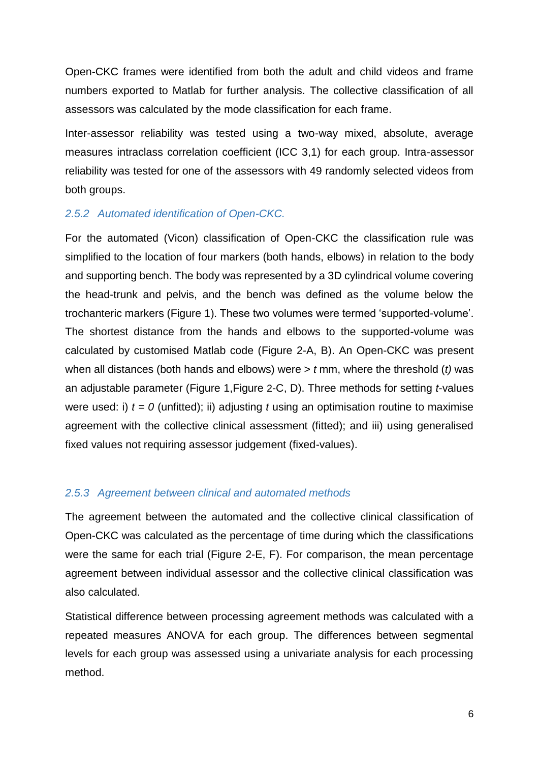Open-CKC frames were identified from both the adult and child videos and frame numbers exported to Matlab for further analysis. The collective classification of all assessors was calculated by the mode classification for each frame.

Inter-assessor reliability was tested using a two-way mixed, absolute, average measures intraclass correlation coefficient (ICC 3,1) for each group. Intra-assessor reliability was tested for one of the assessors with 49 randomly selected videos from both groups.

#### *2.5.2 Automated identification of Open-CKC.*

For the automated (Vicon) classification of Open-CKC the classification rule was simplified to the location of four markers (both hands, elbows) in relation to the body and supporting bench. The body was represented by a 3D cylindrical volume covering the head-trunk and pelvis, and the bench was defined as the volume below the trochanteric markers [\(Figure 1\)](#page-12-0). These two volumes were termed 'supported-volume'. The shortest distance from the hands and elbows to the supported-volume was calculated by customised Matlab code [\(Figure 2-](#page-13-0)A, B). An Open-CKC was present when all distances (both hands and elbows) were > *t* mm, where the threshold (*t)* was an adjustable parameter [\(Figure 1](#page-12-0)[,Figure](#page-13-0) 2-C, D). Three methods for setting *t*-values were used: i)  $t = 0$  (unfitted); ii) adjusting *t* using an optimisation routine to maximise agreement with the collective clinical assessment (fitted); and iii) using generalised fixed values not requiring assessor judgement (fixed-values).

#### *2.5.3 Agreement between clinical and automated methods*

The agreement between the automated and the collective clinical classification of Open-CKC was calculated as the percentage of time during which the classifications were the same for each trial [\(Figure 2-](#page-13-0)E, F). For comparison, the mean percentage agreement between individual assessor and the collective clinical classification was also calculated.

Statistical difference between processing agreement methods was calculated with a repeated measures ANOVA for each group. The differences between segmental levels for each group was assessed using a univariate analysis for each processing method.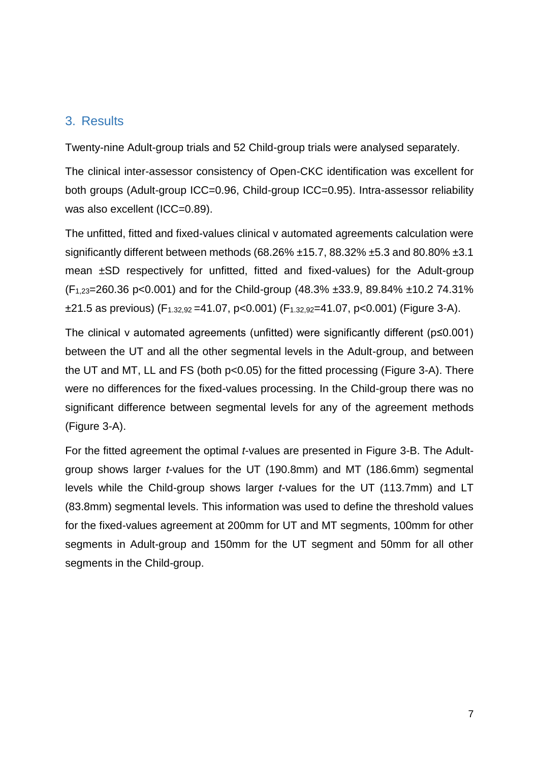#### 3. Results

Twenty-nine Adult-group trials and 52 Child-group trials were analysed separately.

The clinical inter-assessor consistency of Open-CKC identification was excellent for both groups (Adult-group ICC=0.96, Child-group ICC=0.95). Intra-assessor reliability was also excellent (ICC=0.89).

The unfitted, fitted and fixed-values clinical v automated agreements calculation were significantly different between methods (68.26%  $\pm$ 15.7, 88.32%  $\pm$ 5.3 and 80.80%  $\pm$ 3.1 mean ±SD respectively for unfitted, fitted and fixed-values) for the Adult-group (F1,23=260.36 p<0.001) and for the Child-group (48.3% ±33.9, 89.84% ±10.2 74.31%  $\pm$ 21.5 as previous) (F<sub>1.32,92</sub>=41.07, p<0.001) (F<sub>1.32,92</sub>=41.07, p<0.001) [\(Figure 3-](#page-14-0)A).

The clinical v automated agreements (unfitted) were significantly different (p≤0.001) between the UT and all the other segmental levels in the Adult-group, and between the UT and MT, LL and FS (both p<0.05) for the fitted processing [\(Figure 3-](#page-14-0)A). There were no differences for the fixed-values processing. In the Child-group there was no significant difference between segmental levels for any of the agreement methods [\(Figure 3-](#page-14-0)A).

For the fitted agreement the optimal *t*-values are presented in [Figure 3-](#page-14-0)B. The Adultgroup shows larger *t*-values for the UT (190.8mm) and MT (186.6mm) segmental levels while the Child-group shows larger *t*-values for the UT (113.7mm) and LT (83.8mm) segmental levels. This information was used to define the threshold values for the fixed-values agreement at 200mm for UT and MT segments, 100mm for other segments in Adult-group and 150mm for the UT segment and 50mm for all other segments in the Child-group.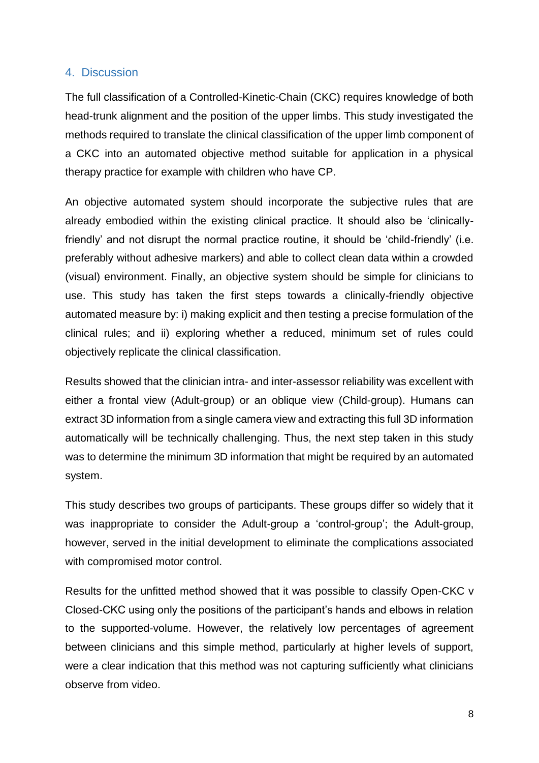#### 4. Discussion

The full classification of a Controlled-Kinetic-Chain (CKC) requires knowledge of both head-trunk alignment and the position of the upper limbs. This study investigated the methods required to translate the clinical classification of the upper limb component of a CKC into an automated objective method suitable for application in a physical therapy practice for example with children who have CP.

An objective automated system should incorporate the subjective rules that are already embodied within the existing clinical practice. It should also be 'clinicallyfriendly' and not disrupt the normal practice routine, it should be 'child-friendly' (i.e. preferably without adhesive markers) and able to collect clean data within a crowded (visual) environment. Finally, an objective system should be simple for clinicians to use. This study has taken the first steps towards a clinically-friendly objective automated measure by: i) making explicit and then testing a precise formulation of the clinical rules; and ii) exploring whether a reduced, minimum set of rules could objectively replicate the clinical classification.

Results showed that the clinician intra- and inter-assessor reliability was excellent with either a frontal view (Adult-group) or an oblique view (Child-group). Humans can extract 3D information from a single camera view and extracting this full 3D information automatically will be technically challenging. Thus, the next step taken in this study was to determine the minimum 3D information that might be required by an automated system.

This study describes two groups of participants. These groups differ so widely that it was inappropriate to consider the Adult-group a 'control-group'; the Adult-group, however, served in the initial development to eliminate the complications associated with compromised motor control.

Results for the unfitted method showed that it was possible to classify Open-CKC v Closed-CKC using only the positions of the participant's hands and elbows in relation to the supported-volume. However, the relatively low percentages of agreement between clinicians and this simple method, particularly at higher levels of support, were a clear indication that this method was not capturing sufficiently what clinicians observe from video.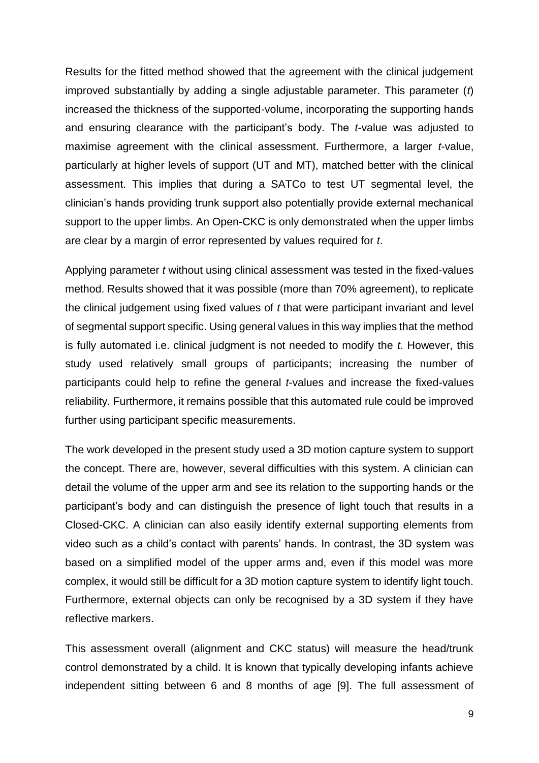Results for the fitted method showed that the agreement with the clinical judgement improved substantially by adding a single adjustable parameter. This parameter (*t*) increased the thickness of the supported-volume, incorporating the supporting hands and ensuring clearance with the participant's body. The *t*-value was adjusted to maximise agreement with the clinical assessment. Furthermore, a larger *t*-value, particularly at higher levels of support (UT and MT), matched better with the clinical assessment. This implies that during a SATCo to test UT segmental level, the clinician's hands providing trunk support also potentially provide external mechanical support to the upper limbs. An Open-CKC is only demonstrated when the upper limbs are clear by a margin of error represented by values required for *t*.

Applying parameter *t* without using clinical assessment was tested in the fixed-values method. Results showed that it was possible (more than 70% agreement), to replicate the clinical judgement using fixed values of *t* that were participant invariant and level of segmental support specific. Using general values in this way implies that the method is fully automated i.e. clinical judgment is not needed to modify the *t*. However, this study used relatively small groups of participants; increasing the number of participants could help to refine the general *t*-values and increase the fixed-values reliability. Furthermore, it remains possible that this automated rule could be improved further using participant specific measurements.

The work developed in the present study used a 3D motion capture system to support the concept. There are, however, several difficulties with this system. A clinician can detail the volume of the upper arm and see its relation to the supporting hands or the participant's body and can distinguish the presence of light touch that results in a Closed-CKC. A clinician can also easily identify external supporting elements from video such as a child's contact with parents' hands. In contrast, the 3D system was based on a simplified model of the upper arms and, even if this model was more complex, it would still be difficult for a 3D motion capture system to identify light touch. Furthermore, external objects can only be recognised by a 3D system if they have reflective markers.

This assessment overall (alignment and CKC status) will measure the head/trunk control demonstrated by a child. It is known that typically developing infants achieve independent sitting between 6 and 8 months of age [9]. The full assessment of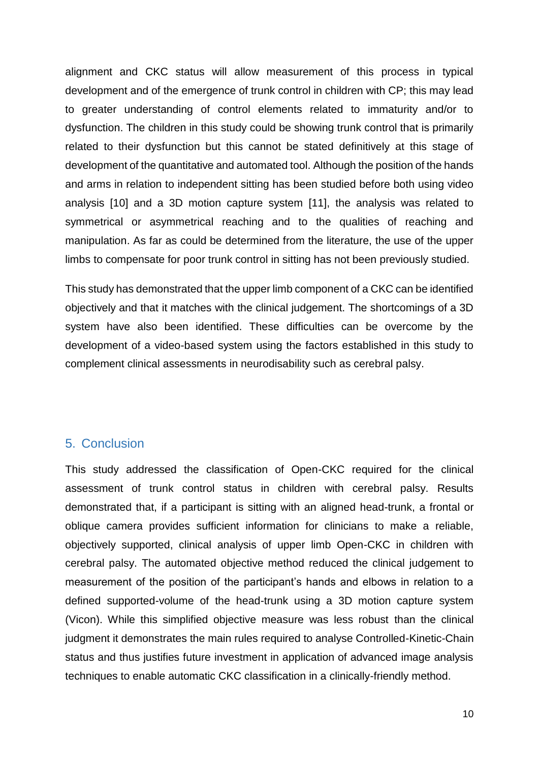alignment and CKC status will allow measurement of this process in typical development and of the emergence of trunk control in children with CP; this may lead to greater understanding of control elements related to immaturity and/or to dysfunction. The children in this study could be showing trunk control that is primarily related to their dysfunction but this cannot be stated definitively at this stage of development of the quantitative and automated tool. Although the position of the hands and arms in relation to independent sitting has been studied before both using video analysis [10] and a 3D motion capture system [11], the analysis was related to symmetrical or asymmetrical reaching and to the qualities of reaching and manipulation. As far as could be determined from the literature, the use of the upper limbs to compensate for poor trunk control in sitting has not been previously studied.

This study has demonstrated that the upper limb component of a CKC can be identified objectively and that it matches with the clinical judgement. The shortcomings of a 3D system have also been identified. These difficulties can be overcome by the development of a video-based system using the factors established in this study to complement clinical assessments in neurodisability such as cerebral palsy.

#### 5. Conclusion

This study addressed the classification of Open-CKC required for the clinical assessment of trunk control status in children with cerebral palsy. Results demonstrated that, if a participant is sitting with an aligned head-trunk, a frontal or oblique camera provides sufficient information for clinicians to make a reliable, objectively supported, clinical analysis of upper limb Open-CKC in children with cerebral palsy. The automated objective method reduced the clinical judgement to measurement of the position of the participant's hands and elbows in relation to a defined supported-volume of the head-trunk using a 3D motion capture system (Vicon). While this simplified objective measure was less robust than the clinical judgment it demonstrates the main rules required to analyse Controlled-Kinetic-Chain status and thus justifies future investment in application of advanced image analysis techniques to enable automatic CKC classification in a clinically-friendly method.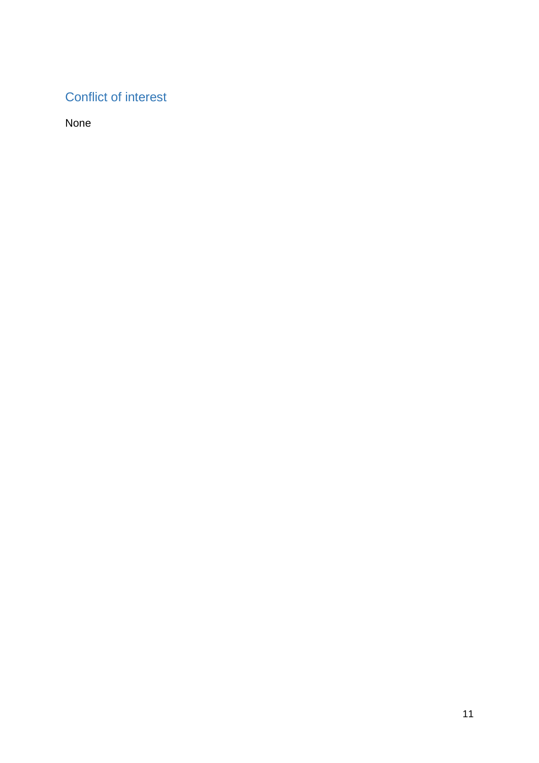# Conflict of interest

None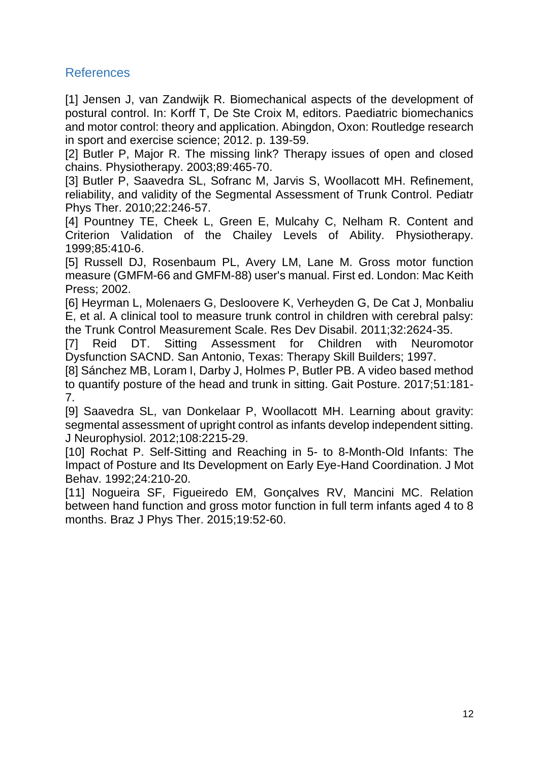# References

[1] Jensen J, van Zandwijk R. Biomechanical aspects of the development of postural control. In: Korff T, De Ste Croix M, editors. Paediatric biomechanics and motor control: theory and application. Abingdon, Oxon: Routledge research in sport and exercise science; 2012. p. 139-59.

[2] Butler P. Major R. The missing link? Therapy issues of open and closed chains. Physiotherapy. 2003;89:465-70.

[3] Butler P, Saavedra SL, Sofranc M, Jarvis S, Woollacott MH. Refinement, reliability, and validity of the Segmental Assessment of Trunk Control. Pediatr Phys Ther. 2010;22:246-57.

[4] Pountney TE, Cheek L, Green E, Mulcahy C, Nelham R. Content and Criterion Validation of the Chailey Levels of Ability. Physiotherapy. 1999;85:410-6.

[5] Russell DJ, Rosenbaum PL, Avery LM, Lane M. Gross motor function measure (GMFM-66 and GMFM-88) user's manual. First ed. London: Mac Keith Press; 2002.

[6] Heyrman L, Molenaers G, Desloovere K, Verheyden G, De Cat J, Monbaliu E, et al. A clinical tool to measure trunk control in children with cerebral palsy: the Trunk Control Measurement Scale. Res Dev Disabil. 2011;32:2624-35.

[7] Reid DT. Sitting Assessment for Children with Neuromotor Dysfunction SACND. San Antonio, Texas: Therapy Skill Builders; 1997.

[8] Sánchez MB, Loram I, Darby J, Holmes P, Butler PB. A video based method to quantify posture of the head and trunk in sitting. Gait Posture. 2017;51:181- 7.

[9] Saavedra SL, van Donkelaar P, Woollacott MH. Learning about gravity: segmental assessment of upright control as infants develop independent sitting. J Neurophysiol. 2012;108:2215-29.

[10] Rochat P. Self-Sitting and Reaching in 5- to 8-Month-Old Infants: The Impact of Posture and Its Development on Early Eye-Hand Coordination. J Mot Behav. 1992;24:210-20.

[11] Nogueira SF, Figueiredo EM, Gonçalves RV, Mancini MC. Relation between hand function and gross motor function in full term infants aged 4 to 8 months. Braz J Phys Ther. 2015;19:52-60.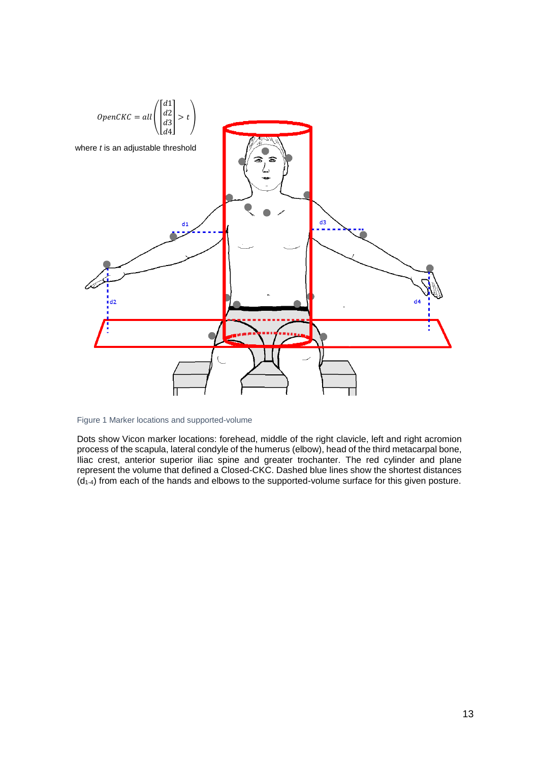

<span id="page-12-0"></span>Figure 1 Marker locations and supported-volume

Dots show Vicon marker locations: forehead, middle of the right clavicle, left and right acromion process of the scapula, lateral condyle of the humerus (elbow), head of the third metacarpal bone, Iliac crest, anterior superior iliac spine and greater trochanter. The red cylinder and plane represent the volume that defined a Closed-CKC. Dashed blue lines show the shortest distances  $(d<sub>1-4</sub>)$  from each of the hands and elbows to the supported-volume surface for this given posture.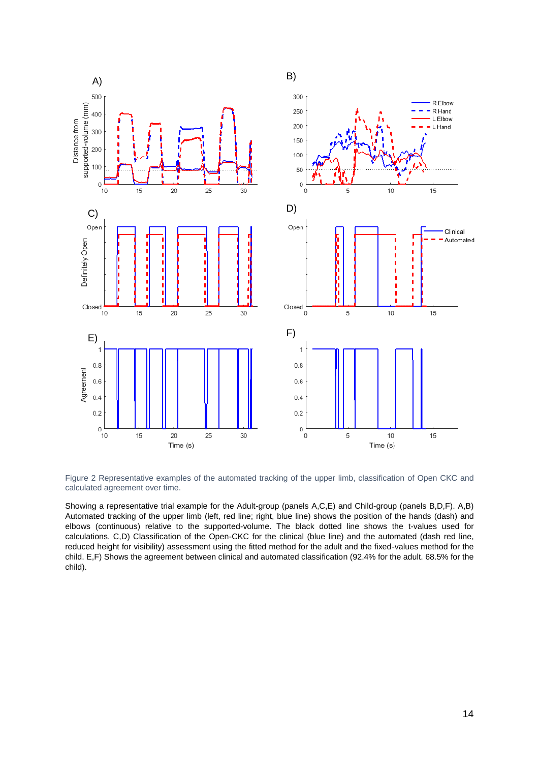

<span id="page-13-0"></span>Figure 2 Representative examples of the automated tracking of the upper limb, classification of Open CKC and calculated agreement over time.

Showing a representative trial example for the Adult-group (panels A,C,E) and Child-group (panels B,D,F). A,B) Automated tracking of the upper limb (left, red line; right, blue line) shows the position of the hands (dash) and elbows (continuous) relative to the supported-volume. The black dotted line shows the t-values used for calculations. C,D) Classification of the Open-CKC for the clinical (blue line) and the automated (dash red line, reduced height for visibility) assessment using the fitted method for the adult and the fixed-values method for the child. E,F) Shows the agreement between clinical and automated classification (92.4% for the adult. 68.5% for the child).